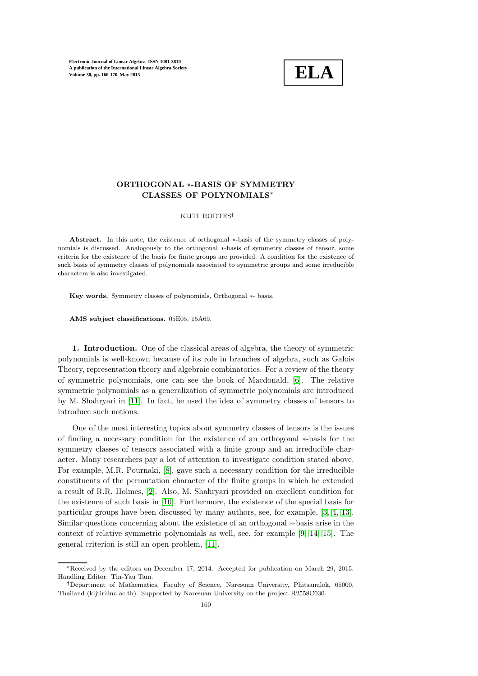

# ORTHOGONAL ∗-BASIS OF SYMMETRY CLASSES OF POLYNOMIALS<sup>∗</sup>

#### KIJTI RODTES†

Abstract. In this note, the existence of orthogonal ∗-basis of the symmetry classes of polynomials is discussed. Analogously to the orthogonal ∗-basis of symmetry classes of tensor, some criteria for the existence of the basis for finite groups are provided. A condition for the existence of such basis of symmetry classes of polynomials associated to symmetric groups and some irreducible characters is also investigated.

Key words. Symmetry classes of polynomials, Orthogonal ∗- basis.

AMS subject classifications. 05E05, 15A69.

1. Introduction. One of the classical areas of algebra, the theory of symmetric polynomials is well-known because of its role in branches of algebra, such as Galois Theory, representation theory and algebraic combinatorics. For a review of the theory of symmetric polynomials, one can see the book of Macdonald, [\[6\]](#page-9-0). The relative symmetric polynomials as a generalization of symmetric polynomials are introduced by M. Shahryari in [\[11\]](#page-9-1). In fact, he used the idea of symmetry classes of tensors to introduce such notions.

One of the most interesting topics about symmetry classes of tensors is the issues of finding a necessary condition for the existence of an orthogonal ∗-basis for the symmetry classes of tensors associated with a finite group and an irreducible character. Many researchers pay a lot of attention to investigate condition stated above. For example, M.R. Pournaki, [\[8\]](#page-9-2), gave such a necessary condition for the irreducible constituents of the permutation character of the finite groups in which he extended a result of R.R. Holmes, [\[2\]](#page-9-3). Also, M. Shahryari provided an excellent condition for the existence of such basis in [\[10\]](#page-9-4). Furthermore, the existence of the special basis for particular groups have been discussed by many authors, see, for example, [\[3,](#page-9-5) [4,](#page-9-6) [13\]](#page-10-0). Similar questions concerning about the existence of an orthogonal ∗-basis arise in the context of relative symmetric polynomials as well, see, for example [\[9,](#page-9-7) [14,](#page-10-1) [15\]](#page-10-2). The general criterion is still an open problem, [\[11\]](#page-9-1).

<sup>∗</sup>Received by the editors on December 17, 2014. Accepted for publication on March 29, 2015. Handling Editor: Tin-Yau Tam.

<sup>†</sup>Department of Mathematics, Faculty of Science, Naresuan University, Phitsanulok, 65000, Thailand (kijtir@nu.ac.th). Supported by Naresuan University on the project R2558C030.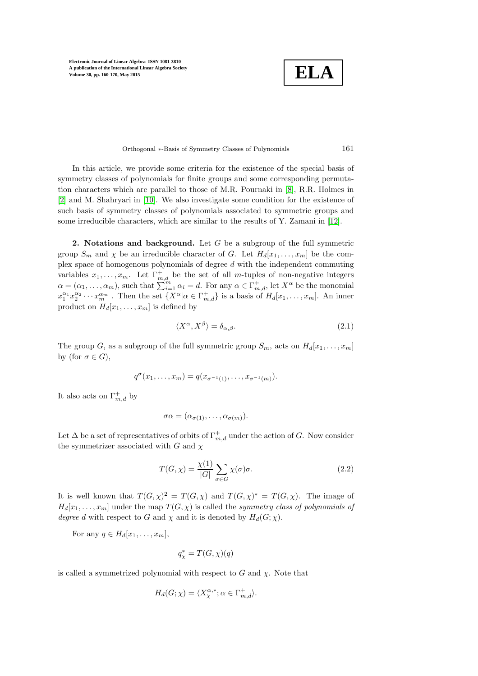**ELA**

Orthogonal ∗-Basis of Symmetry Classes of Polynomials 161

In this article, we provide some criteria for the existence of the special basis of symmetry classes of polynomials for finite groups and some corresponding permutation characters which are parallel to those of M.R. Pournaki in [\[8\]](#page-9-2), R.R. Holmes in [\[2\]](#page-9-3) and M. Shahryari in [\[10\]](#page-9-4). We also investigate some condition for the existence of such basis of symmetry classes of polynomials associated to symmetric groups and some irreducible characters, which are similar to the results of Y. Zamani in [\[12\]](#page-10-3).

2. Notations and background. Let  $G$  be a subgroup of the full symmetric group  $S_m$  and  $\chi$  be an irreducible character of G. Let  $H_d[x_1, \ldots, x_m]$  be the complex space of homogenous polynomials of degree d with the independent commuting variables  $x_1, \ldots, x_m$ . Let  $\Gamma^+_{m,d}$  be the set of all m-tuples of non-negative integers  $\alpha = (\alpha_1, \ldots, \alpha_m)$ , such that  $\sum_{i=1}^{m} \alpha_i = d$ . For any  $\alpha \in \Gamma^+_{m,d}$ , let  $X^{\alpha}$  be the monomial  $x_1^{\alpha_1}x_2^{\alpha_2}\cdots x_m^{\alpha_m}$ . Then the set  $\{X^{\alpha}|\alpha\in\Gamma_{m,d}^+\}$  is a basis of  $H_d[x_1,\ldots,x_m]$ . An inner product on  $H_d[x_1, \ldots, x_m]$  is defined by

$$
\langle X^{\alpha}, X^{\beta} \rangle = \delta_{\alpha, \beta}.
$$
\n(2.1)

The group G, as a subgroup of the full symmetric group  $S_m$ , acts on  $H_d[x_1, \ldots, x_m]$ by (for  $\sigma \in G$ ),

$$
q^{\sigma}(x_1,\ldots,x_m)=q(x_{\sigma^{-1}(1)},\ldots,x_{\sigma^{-1}(m)}).
$$

It also acts on  $\Gamma^+_{m,d}$  by

$$
\sigma\alpha=(\alpha_{\sigma(1)},\ldots,\alpha_{\sigma(m)}).
$$

Let  $\Delta$  be a set of representatives of orbits of  $\Gamma^+_{m,d}$  under the action of G. Now consider the symmetrizer associated with  $G$  and  $\chi$ 

$$
T(G,\chi) = \frac{\chi(1)}{|G|} \sum_{\sigma \in G} \chi(\sigma) \sigma.
$$
 (2.2)

It is well known that  $T(G,\chi)^2 = T(G,\chi)$  and  $T(G,\chi)^* = T(G,\chi)$ . The image of  $H_d[x_1, \ldots, x_m]$  under the map  $T(G, \chi)$  is called the symmetry class of polynomials of degree d with respect to G and  $\chi$  and it is denoted by  $H_d(G; \chi)$ .

For any  $q \in H_d[x_1, \ldots, x_m]$ ,

$$
q^*_{\chi} = T(G,\chi)(q)
$$

is called a symmetrized polynomial with respect to  $G$  and  $\chi$ . Note that

$$
H_d(G; \chi) = \langle X_{\chi}^{\alpha,*}; \alpha \in \Gamma_{m,d}^+ \rangle.
$$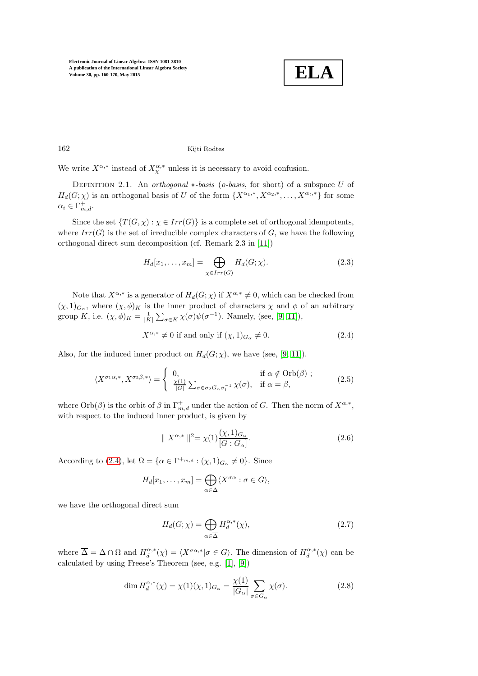

## 162 Kijti Rodtes

We write  $X^{\alpha,*}$  instead of  $X^{\alpha,*}_{\chi}$  unless it is necessary to avoid confusion.

DEFINITION 2.1. An orthogonal  $*$ -basis (o-basis, for short) of a subspace U of  $H_d(G; \chi)$  is an orthogonal basis of U of the form  $\{X^{\alpha_1,*}, X^{\alpha_2,*}, \ldots, X^{\alpha_t,*}\}$  for some  $\alpha_i \in \Gamma^+_{m,d}.$ 

Since the set  $\{T(G, \chi) : \chi \in Irr(G)\}\$ is a complete set of orthogonal idempotents, where  $Irr(G)$  is the set of irreducible complex characters of G, we have the following orthogonal direct sum decomposition (cf. Remark 2.3 in [\[11\]](#page-9-1))

$$
H_d[x_1,\ldots,x_m] = \bigoplus_{\chi \in Irr(G)} H_d(G;\chi). \tag{2.3}
$$

Note that  $X^{\alpha,*}$  is a generator of  $H_d(G; \chi)$  if  $X^{\alpha,*} \neq 0$ , which can be checked from  $(\chi,1)_{G_\alpha}$ , where  $(\chi,\phi)_K$  is the inner product of characters  $\chi$  and  $\phi$  of an arbitrary group K, i.e.  $(\chi, \phi)_K = \frac{1}{|K|} \sum_{\sigma \in K} \chi(\sigma) \psi(\sigma^{-1})$ . Namely, (see, [\[9,](#page-9-7) [11\]](#page-9-1)),

<span id="page-2-3"></span><span id="page-2-0"></span>
$$
X^{\alpha,*} \neq 0 \text{ if and only if } (\chi,1)_{G_{\alpha}} \neq 0. \tag{2.4}
$$

Also, for the induced inner product on  $H_d(G; \chi)$ , we have (see, [\[9,](#page-9-7) [11\]](#page-9-1)).

$$
\langle X^{\sigma_1 \alpha,*}, X^{\sigma_2 \beta,*} \rangle = \begin{cases} 0, & \text{if } \alpha \notin \text{Orb}(\beta) ; \\ \frac{\chi(1)}{|G|} \sum_{\sigma \in \sigma_2 G_\alpha \sigma_1^{-1}} \chi(\sigma), & \text{if } \alpha = \beta, \end{cases}
$$
(2.5)

where  $Orb(\beta)$  is the orbit of  $\beta$  in  $\Gamma^+_{m,d}$  under the action of G. Then the norm of  $X^{\alpha,*}$ , with respect to the induced inner product, is given by

<span id="page-2-4"></span>
$$
\| X^{\alpha,*} \|^{2} = \chi(1) \frac{(\chi, 1)_{G_{\alpha}}}{[G : G_{\alpha}]}.
$$
\n(2.6)

According to [\(2.4\)](#page-2-0), let  $\Omega = {\alpha \in \Gamma^{+m,a} : (\chi,1)_{G_\alpha} \neq 0}.$  Since

$$
H_d[x_1,\ldots,x_m]=\bigoplus_{\alpha\in\Delta}\langle X^{\sigma\alpha}:\sigma\in G\rangle,
$$

we have the orthogonal direct sum

<span id="page-2-2"></span><span id="page-2-1"></span>
$$
H_d(G; \chi) = \bigoplus_{\alpha \in \overline{\Delta}} H_d^{\alpha,*}(\chi),\tag{2.7}
$$

where  $\overline{\Delta} = \Delta \cap \Omega$  and  $H_d^{\alpha,*}(\chi) = \langle X^{\sigma \alpha,*} | \sigma \in G \rangle$ . The dimension of  $H_d^{\alpha,*}(\chi)$  can be calculated by using Freese's Theorem (see, e.g. [\[1\]](#page-9-8), [\[9\]](#page-9-7))

$$
\dim H_d^{\alpha,*}(\chi) = \chi(1)(\chi, 1)_{G_\alpha} = \frac{\chi(1)}{|G_\alpha|} \sum_{\sigma \in G_\alpha} \chi(\sigma). \tag{2.8}
$$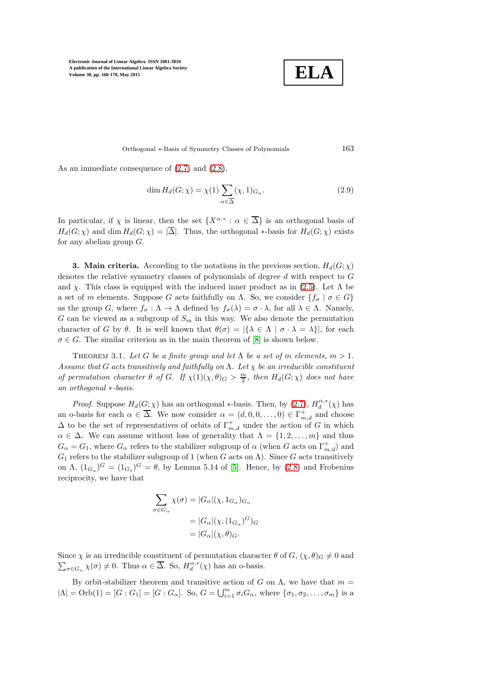

Orthogonal ∗-Basis of Symmetry Classes of Polynomials 163

As an immediate consequence of [\(2.7\)](#page-2-1) and [\(2.8\)](#page-2-2),

$$
\dim H_d(G; \chi) = \chi(1) \sum_{\alpha \in \overline{\Delta}} (\chi, 1)_{G_\alpha}.
$$
\n(2.9)

In particular, if  $\chi$  is linear, then the set  $\{X^{\alpha,*}: \alpha \in \overline{\Delta}\}\$ is an orthogonal basis of  $H_d(G; \chi)$  and dim  $H_d(G; \chi) = |\overline{\Delta}|$ . Thus, the orthogonal \*-basis for  $H_d(G; \chi)$  exists for any abelian group  $G$ .

**3. Main criteria.** According to the notations in the previous section,  $H_d(G; \chi)$ denotes the relative symmetry classes of polynomials of degree d with respect to G and  $\chi$ . This class is equipped with the induced inner product as in [\(2.5\)](#page-2-3). Let  $\Lambda$  be a set of m elements. Suppose G acts faithfully on  $\Lambda$ . So, we consider  $\{f_{\sigma} \mid \sigma \in G\}$ as the group G, where  $f_{\sigma} : \Lambda \to \Lambda$  defined by  $f_{\sigma}(\lambda) = \sigma \cdot \lambda$ , for all  $\lambda \in \Lambda$ . Namely, G can be viewed as a subgroup of  $S_m$  in this way. We also denote the permutation character of G by  $\theta$ . It is well known that  $\theta(\sigma) = |\{\lambda \in \Lambda \mid \sigma \cdot \lambda = \lambda\}|$ , for each  $\sigma \in G$ . The similar criterion as in the main theorem of [\[8\]](#page-9-2) is shown below.

<span id="page-3-0"></span>THEOREM 3.1. Let G be a finite group and let  $\Lambda$  be a set of m elements,  $m > 1$ . Assume that G acts transitively and faithfully on  $\Lambda$ . Let  $\chi$  be an irreducible constituent of permutation character  $\theta$  of G. If  $\chi(1)(\chi,\theta)_G > \frac{m}{2}$ , then  $H_d(G;\chi)$  does not have an orthogonal ∗-basis.

*Proof.* Suppose  $H_d(G; \chi)$  has an orthogonal ∗-basis. Then, by  $(2.7)$ ,  $H_d^{\alpha,*}(\chi)$  has an o-basis for each  $\alpha \in \overline{\Delta}$ . We now consider  $\alpha = (d, 0, 0, \ldots, 0) \in \Gamma^+_{m,d}$  and choose  $\Delta$  to be the set of representatives of orbits of  $\Gamma^+_{m,d}$  under the action of G in which  $\alpha \in \Delta$ . We can assume without loss of generality that  $\Lambda = \{1, 2, ..., m\}$  and thus  $G_{\alpha} = G_1$ , where  $G_{\alpha}$  refers to the stabilizer subgroup of  $\alpha$  (when  $G$  acts on  $\Gamma^+_{m,d}$ ) and  $G_1$  refers to the stabilizer subgroup of 1 (when G acts on  $\Lambda$ ). Since G acts transitively on  $\Lambda$ ,  $(1_{G_\alpha})^G = (1_{G_1})^G = \theta$ , by Lemma 5.14 of [\[5\]](#page-9-9). Hence, by [\(2.8\)](#page-2-2) and Frobenius reciprocity, we have that

$$
\sum_{\sigma \in G_{\alpha}} \chi(\sigma) = |G_{\alpha}|(\chi, 1_{G_{\alpha}})_{G_{\alpha}}
$$

$$
= |G_{\alpha}|(\chi, (1_{G_{\alpha}})^G)_{G}
$$

$$
= |G_{\alpha}|(\chi, \theta)_{G}.
$$

Since  $\chi$  is an irreducible constituent of permutation character  $\theta$  of  $G$ ,  $(\chi, \theta)$ <sub>G</sub>  $\neq$  0 and  $\sum_{\sigma \in G_{\alpha}} \chi(\sigma) \neq 0$ . Thus  $\alpha \in \overline{\Delta}$ . So,  $H_d^{\alpha,*}(\chi)$  has an o-basis.

By orbit-stabilizer theorem and transitive action of G on  $\Lambda$ , we have that  $m =$  $|\Lambda| = \text{Orb}(1) = [G:G_1] = [G:G_\alpha]$ . So,  $G = \bigcup_{i=1}^m \sigma_i G_\alpha$ , where  $\{\sigma_1, \sigma_2, \ldots, \sigma_m\}$  is a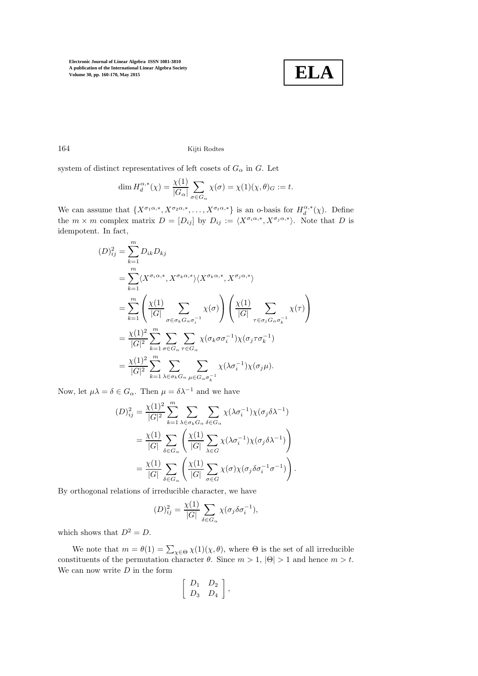

164 Kijti Rodtes

system of distinct representatives of left cosets of  $G_{\alpha}$  in  $G$ . Let

$$
\dim H_d^{\alpha,*}(\chi) = \frac{\chi(1)}{|G_{\alpha}|} \sum_{\sigma \in G_{\alpha}} \chi(\sigma) = \chi(1)(\chi, \theta)_{G} := t.
$$

We can assume that  $\{X^{\sigma_1\alpha,*}, X^{\sigma_2\alpha,*}, \ldots, X^{\sigma_t\alpha,*}\}\$ is an o-basis for  $H_d^{\alpha,*}(\chi)$ . Define the  $m \times m$  complex matrix  $D = [D_{ij}]$  by  $D_{ij} := \langle X^{\sigma_i \alpha, *}, X^{\sigma_j \alpha, *} \rangle$ . Note that D is idempotent. In fact,

$$
(D)_{ij}^{2} = \sum_{k=1}^{m} D_{ik} D_{kj}
$$
  
\n
$$
= \sum_{k=1}^{m} \langle X^{\sigma_{i}\alpha,*}, X^{\sigma_{k}\alpha,*} \rangle \langle X^{\sigma_{k}\alpha,*}, X^{\sigma_{j}\alpha,*} \rangle
$$
  
\n
$$
= \sum_{k=1}^{m} \left( \frac{\chi(1)}{|G|} \sum_{\sigma \in \sigma_{k} G_{\alpha} \sigma_{i}^{-1}} \chi(\sigma) \right) \left( \frac{\chi(1)}{|G|} \sum_{\tau \in \sigma_{j} G_{\alpha} \sigma_{k}^{-1}} \chi(\tau) \right)
$$
  
\n
$$
= \frac{\chi(1)^{2}}{|G|^{2}} \sum_{k=1}^{m} \sum_{\sigma \in G_{\alpha}} \sum_{\tau \in G_{\alpha}} \chi(\sigma_{k} \sigma \sigma_{i}^{-1}) \chi(\sigma_{j} \tau \sigma_{k}^{-1})
$$
  
\n
$$
= \frac{\chi(1)^{2}}{|G|^{2}} \sum_{k=1}^{m} \sum_{\lambda \in \sigma_{k} G_{\alpha}} \sum_{\mu \in G_{\alpha} \sigma_{k}^{-1}} \chi(\lambda \sigma_{i}^{-1}) \chi(\sigma_{j} \mu).
$$

Now, let  $\mu\lambda = \delta \in G_\alpha$ . Then  $\mu = \delta \lambda^{-1}$  and we have

$$
(D)_{ij}^{2} = \frac{\chi(1)^{2}}{|G|^{2}} \sum_{k=1}^{m} \sum_{\lambda \in \sigma_{k}G_{\alpha}} \sum_{\delta \in G_{\alpha}} \chi(\lambda \sigma_{i}^{-1}) \chi(\sigma_{j} \delta \lambda^{-1})
$$
  

$$
= \frac{\chi(1)}{|G|} \sum_{\delta \in G_{\alpha}} \left( \frac{\chi(1)}{|G|} \sum_{\lambda \in G} \chi(\lambda \sigma_{i}^{-1}) \chi(\sigma_{j} \delta \lambda^{-1}) \right)
$$
  

$$
= \frac{\chi(1)}{|G|} \sum_{\delta \in G_{\alpha}} \left( \frac{\chi(1)}{|G|} \sum_{\sigma \in G} \chi(\sigma) \chi(\sigma_{j} \delta \sigma_{i}^{-1} \sigma^{-1}) \right).
$$

By orthogonal relations of irreducible character, we have

$$
(D)_{ij}^2 = \frac{\chi(1)}{|G|} \sum_{\delta \in G_{\alpha}} \chi(\sigma_j \delta \sigma_i^{-1}),
$$

which shows that  $D^2 = D$ .

We note that  $m = \theta(1) = \sum_{\chi \in \Theta} \chi(1)(\chi, \theta)$ , where  $\Theta$  is the set of all irreducible constituents of the permutation character  $\theta$ . Since  $m > 1$ ,  $|\Theta| > 1$  and hence  $m > t$ . We can now write  $D$  in the form

$$
\left[\begin{array}{cc} D_1 & D_2 \\ D_3 & D_4 \end{array}\right],
$$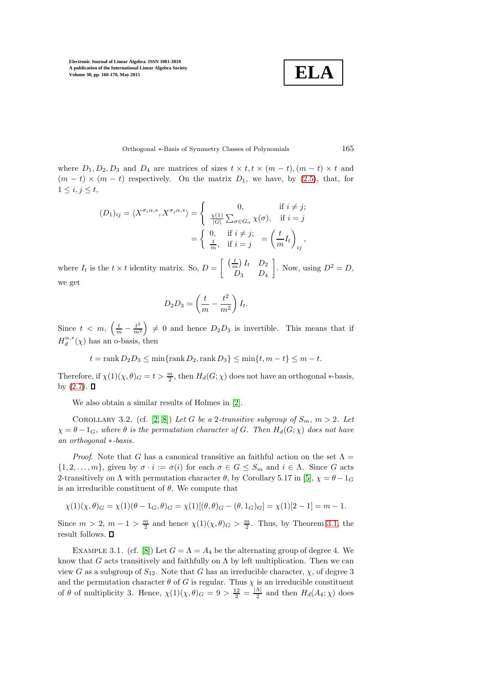$$
\boxed{\textbf{ELA}}
$$

Orthogonal ∗-Basis of Symmetry Classes of Polynomials 165

where  $D_1, D_2, D_3$  and  $D_4$  are matrices of sizes  $t \times t, t \times (m - t), (m - t) \times t$  and  $(m - t) \times (m - t)$  respectively. On the matrix  $D_1$ , we have, by [\(2.5\)](#page-2-3), that, for  $1 \leq i, j \leq t$ ,

$$
(D_1)_{ij} = \langle X^{\sigma_i \alpha, *}, X^{\sigma_j \alpha, *} \rangle = \begin{cases} 0, & \text{if } i \neq j; \\ \frac{\chi(1)}{|G|} \sum_{\sigma \in G_{\alpha}} \chi(\sigma), & \text{if } i = j \end{cases}
$$

$$
= \begin{cases} 0, & \text{if } i \neq j; \\ \frac{t}{m}, & \text{if } i = j \end{cases} = \left(\frac{t}{m} I_t\right)_{ij},
$$

where  $I_t$  is the  $t \times t$  identity matrix. So,  $D =$  $\left[\begin{array}{cc} \left(\frac{t}{m}\right)I_t & D_2 \end{array}\right]$  $D_3$   $D_4$ . Now, using  $D^2 = D$ , we get

$$
D_2D_3 = \left(\frac{t}{m} - \frac{t^2}{m^2}\right)I_t.
$$

Since  $t \, < \, m, \, \left( \frac{t}{m} - \frac{t^2}{m^2} \right)$  $\left(\frac{t^2}{m^2}\right) \neq 0$  and hence  $D_2D_3$  is invertible. This means that if  $H_d^{\alpha,*}(\chi)$  has an o-basis, then

$$
t = \operatorname{rank} D_2 D_3 \le \min\{\operatorname{rank} D_2, \operatorname{rank} D_3\} \le \min\{t, m - t\} \le m - t.
$$

Therefore, if  $\chi(1)(\chi, \theta)_G = t > \frac{m}{2}$ , then  $H_d(G; \chi)$  does not have an orthogonal \*-basis, by  $(2.7)$ .  $\Box$ 

We also obtain a similar results of Holmes in [\[2\]](#page-9-3).

COROLLARY 3.2. (cf. [\[2,](#page-9-3) [8\]](#page-9-2)) Let G be a 2-transitive subgroup of  $S_m$ ,  $m > 2$ . Let  $\chi = \theta - 1_G$ , where  $\theta$  is the permutation character of G. Then  $H_d(G; \chi)$  does not have an orthogonal ∗-basis.

*Proof.* Note that G has a canonical transitive an faithful action on the set  $\Lambda =$  $\{1, 2, \ldots, m\}$ , given by  $\sigma \cdot i := \sigma(i)$  for each  $\sigma \in G \leq S_m$  and  $i \in \Lambda$ . Since G acts 2-transitively on  $\Lambda$  with permutation character  $\theta$ , by Corollary 5.17 in [\[5\]](#page-9-9),  $\chi = \theta - 1_G$ is an irreducible constituent of  $\theta$ . We compute that

$$
\chi(1)(\chi,\theta)_G = \chi(1)(\theta - 1_G, \theta)_G = \chi(1)[(\theta,\theta)_G - (\theta,1_G)_G] = \chi(1)[2-1] = m-1.
$$

Since  $m > 2$ ,  $m - 1 > \frac{m}{2}$  and hence  $\chi(1)(\chi, \theta)_G > \frac{m}{2}$ . Thus, by Theorem [3.1,](#page-3-0) the result follows.  $\blacksquare$ 

EXAMPLE 3.1. (cf. [\[8\]](#page-9-2)) Let  $G = \Lambda = A_4$  be the alternating group of degree 4. We know that G acts transitively and faithfully on  $\Lambda$  by left multiplication. Then we can view G as a subgroup of  $S_{12}$ . Note that G has an irreducible character,  $\chi$ , of degree 3 and the permutation character  $\theta$  of G is regular. Thus  $\chi$  is an irreducible constituent of  $\theta$  of multiplicity 3. Hence,  $\chi(1)(\chi,\theta)_G = 9 > \frac{12}{2} = \frac{|\Lambda|}{2}$  $\frac{A_1}{2}$  and then  $H_d(A_4; \chi)$  does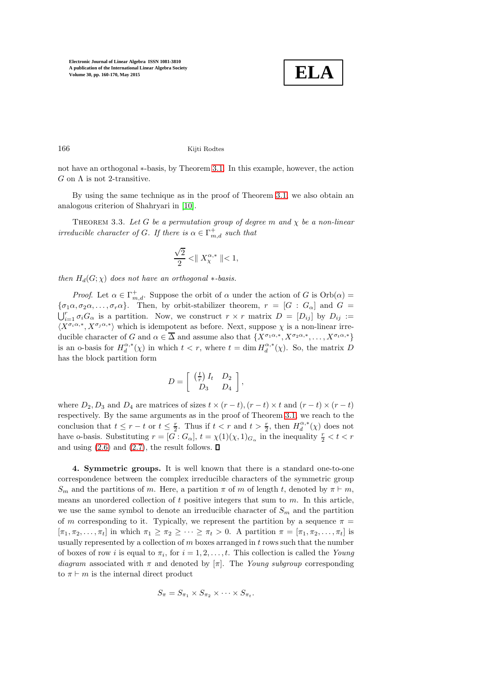

166 Kijti Rodtes

not have an orthogonal ∗-basis, by Theorem [3.1.](#page-3-0) In this example, however, the action  $G$  on  $\Lambda$  is not 2-transitive.

<span id="page-6-0"></span>By using the same technique as in the proof of Theorem [3.1,](#page-3-0) we also obtain an analogous criterion of Shahryari in [\[10\]](#page-9-4).

THEOREM 3.3. Let G be a permutation group of degree m and  $\chi$  be a non-linear irreducible character of G. If there is  $\alpha \in \Gamma^+_{m,d}$  such that

$$
\frac{\sqrt{2}}{2} < \parallel X_{\chi}^{\alpha,*} \parallel < 1,
$$

then  $H_d(G; \chi)$  does not have an orthogonal  $*$ -basis.

*Proof.* Let  $\alpha \in \Gamma^+_{m,d}$ . Suppose the orbit of  $\alpha$  under the action of G is  $Orb(\alpha)$  =  $\{\sigma_1\alpha, \sigma_2\alpha, \dots, \sigma_r\alpha\}$ . Then, by orbit-stabilizer theorem,  $r = [G : G_\alpha]$  and  $G = \bigcup_{i=1}^r \sigma_i G_\alpha$  is a partition. Now, we construct  $r \times r$  matrix  $D = [D_{ij}]$  by  $D_{ij} :=$  $\langle X^{\sigma_i \alpha, *}, X^{\sigma_j \alpha, *}\rangle$  which is idempotent as before. Next, suppose  $\chi$  is a non-linear irreducible character of G and  $\alpha \in \overline{\Delta}$  and assume also that  $\{X^{\sigma_1\alpha,*}, X^{\sigma_2\alpha,*}, \dots, X^{\sigma_t\alpha,*}\}$ is an o-basis for  $H_d^{\alpha,*}(\chi)$  in which  $t < r$ , where  $t = \dim H_d^{\alpha,*}(\chi)$ . So, the matrix D has the block partition form

$$
D = \left[ \begin{array}{cc} \left( \frac{t}{r} \right) I_t & D_2 \\ D_3 & D_4 \end{array} \right]
$$

,

where  $D_2, D_3$  and  $D_4$  are matrices of sizes  $t \times (r - t)$ ,  $(r - t) \times t$  and  $(r - t) \times (r - t)$ respectively. By the same arguments as in the proof of Theorem [3.1,](#page-3-0) we reach to the conclusion that  $t \leq r - t$  or  $t \leq \frac{r}{2}$ . Thus if  $t < r$  and  $t > \frac{r}{2}$ , then  $H_d^{\alpha,*}(\chi)$  does not have o-basis. Substituting  $r = [G:G_\alpha]$ ,  $t = \chi(1)(\chi, 1)_{G_\alpha}$  in the inequality  $\frac{r}{2} < t < r$ and using  $(2.6)$  and  $(2.7)$ , the result follows.  $\Box$ 

4. Symmetric groups. It is well known that there is a standard one-to-one correspondence between the complex irreducible characters of the symmetric group  $S_m$  and the partitions of m. Here, a partition  $\pi$  of m of length t, denoted by  $\pi \vdash m$ , means an unordered collection of  $t$  positive integers that sum to  $m$ . In this article, we use the same symbol to denote an irreducible character of  $S_m$  and the partition of m corresponding to it. Typically, we represent the partition by a sequence  $\pi$  =  $[\pi_1, \pi_2, \ldots, \pi_t]$  in which  $\pi_1 \geq \pi_2 \geq \cdots \geq \pi_t > 0$ . A partition  $\pi = [\pi_1, \pi_2, \ldots, \pi_t]$  is usually represented by a collection of  $m$  boxes arranged in  $t$  rows such that the number of boxes of row *i* is equal to  $\pi_i$ , for  $i = 1, 2, \ldots, t$ . This collection is called the Young diagram associated with  $\pi$  and denoted by  $[\pi]$ . The Young subgroup corresponding to  $\pi \vdash m$  is the internal direct product

$$
S_{\pi} = S_{\pi_1} \times S_{\pi_2} \times \cdots \times S_{\pi_t}.
$$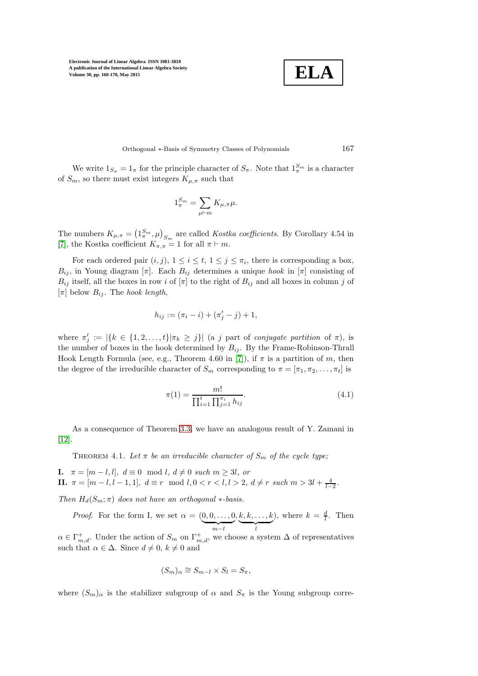

Orthogonal ∗-Basis of Symmetry Classes of Polynomials 167

We write  $1_{S_{\pi}} = 1_{\pi}$  for the principle character of  $S_{\pi}$ . Note that  $1_{\pi}^{S_{m}}$  is a character of  $S_m$ , so there must exist integers  $K_{\mu,\pi}$  such that

$$
1_{\pi}^{S_m}=\sum_{\mu \vdash m} K_{\mu,\pi} \mu.
$$

The numbers  $K_{\mu,\pi} = \left(1_{\pi}^{S_m}, \mu\right)_{S_m}$  are called *Kostka coefficients*. By Corollary 4.54 in [\[7\]](#page-9-10), the Kostka coefficient  $K_{\pi,\pi} = 1$  for all  $\pi \vdash m$ .

For each ordered pair  $(i, j)$ ,  $1 \le i \le t$ ,  $1 \le j \le \pi_i$ , there is corresponding a box,  $B_{ij}$ , in Young diagram  $[\pi]$ . Each  $B_{ij}$  determines a unique hook in  $[\pi]$  consisting of  $B_{ij}$  itself, all the boxes in row i of  $[\pi]$  to the right of  $B_{ij}$  and all boxes in column j of  $[\pi]$  below  $B_{ij}$ . The hook length,

$$
h_{ij} := (\pi_i - i) + (\pi'_j - j) + 1,
$$

where  $\pi'_j := |\{k \in \{1, 2, ..., t\} | \pi_k \geq j\}|$  (a j part of conjugate partition of  $\pi$ ), is the number of boxes in the hook determined by  $B_{ij}$ . By the Frame-Robinson-Thrall Hook Length Formula (see, e.g., Theorem 4.60 in [\[7\]](#page-9-10)), if  $\pi$  is a partition of m, then the degree of the irreducible character of  $S_m$  corresponding to  $\pi = [\pi_1, \pi_2, \ldots, \pi_t]$  is

<span id="page-7-0"></span>
$$
\pi(1) = \frac{m!}{\prod_{i=1}^{t} \prod_{j=1}^{\pi_i} h_{ij}}.
$$
\n(4.1)

As a consequence of Theorem [3.3,](#page-6-0) we have an analogous result of Y. Zamani in [\[12\]](#page-10-3).

THEOREM 4.1. Let  $\pi$  be an irreducible character of  $S_m$  of the cycle type;

I.  $\pi = [m-l, l], d \equiv 0 \mod l, d \neq 0 \text{ such } m \geq 3l, \text{ or }$ **II.**  $\pi = [m - l, l - 1, 1], d \equiv r \mod l, 0 < r < l, l > 2, d \neq r \text{ such } m > 3l + \frac{4}{l-2}$ .

Then  $H_d(S_m; \pi)$  does not have an orthogonal  $*$ -basis.

*Proof.* For the form I, we set  $\alpha = (0, 0, \ldots, 0)$  ${m-l}$  $k, k, \ldots, k$  $\overline{\phantom{a}}_l$ ), where  $k = \frac{d}{l}$ . Then  $\alpha \in \Gamma^+_{m,d}$ . Under the action of  $S_m$  on  $\Gamma^+_{m,d}$ , we choose a system  $\Delta$  of representatives such that  $\alpha \in \Delta$ . Since  $d \neq 0, k \neq 0$  and

$$
(S_m)_{\alpha} \cong S_{m-l} \times S_l = S_{\pi},
$$

where  $(S_m)_{\alpha}$  is the stabilizer subgroup of  $\alpha$  and  $S_{\pi}$  is the Young subgroup corre-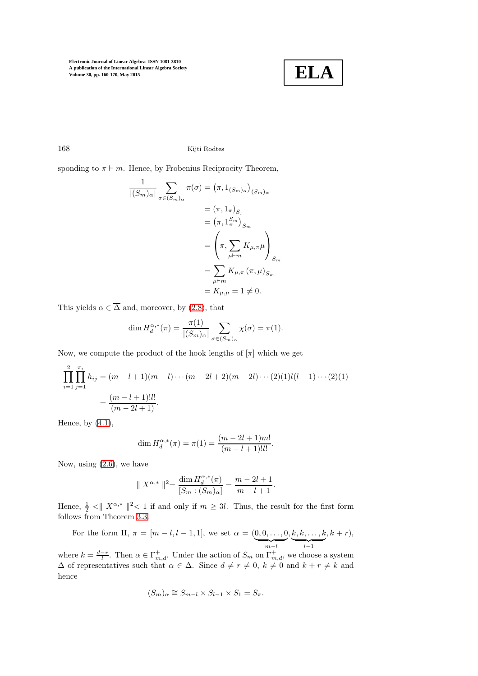

168 Kijti Rodtes

sponding to  $\pi \vdash m$ . Hence, by Frobenius Reciprocity Theorem,

$$
\frac{1}{|(S_m)_{\alpha}|} \sum_{\sigma \in (S_m)_{\alpha}} \pi(\sigma) = (\pi, 1_{(S_m)_{\alpha}})_{(S_m)_{\alpha}}
$$

$$
= (\pi, 1_{\pi})_{S_{\pi}}
$$

$$
= (\pi, 1_{\pi}^{S_m})_{S_m}
$$

$$
= \left(\pi, \sum_{\mu \vdash m} K_{\mu, \pi} \mu \right)_{S_m}
$$

$$
= \sum_{\mu \vdash m} K_{\mu, \pi} (\pi, \mu)_{S_m}
$$

$$
= K_{\mu, \mu} = 1 \neq 0.
$$

This yields  $\alpha \in \overline{\Delta}$  and, moreover, by [\(2.8\)](#page-2-2), that

$$
\dim H_d^{\alpha,*}(\pi) = \frac{\pi(1)}{|(S_m)_{\alpha}|} \sum_{\sigma \in (S_m)_{\alpha}} \chi(\sigma) = \pi(1).
$$

Now, we compute the product of the hook lengths of  $[\pi]$  which we get

$$
\prod_{i=1}^{2} \prod_{j=1}^{\pi_i} h_{ij} = (m - l + 1)(m - l) \cdots (m - 2l + 2)(m - 2l) \cdots (2)(1)l(l - 1) \cdots (2)(1)
$$

$$
= \frac{(m - l + 1)!l!}{(m - 2l + 1)}.
$$

Hence, by  $(4.1)$ ,

$$
\dim H_d^{\alpha,*}(\pi) = \pi(1) = \frac{(m-2l+1)m!}{(m-l+1)!l!}.
$$

Now, using [\(2.6\)](#page-2-4), we have

$$
\parallel X^{\alpha,*} \parallel^2 = \frac{\dim H^{\alpha,*}_d(\pi)}{[S_m : (S_m)_{\alpha}]} = \frac{m-2l+1}{m-l+1}.
$$

Hence,  $\frac{1}{2} < ||X^{\alpha,*}||^2 < 1$  if and only if  $m \geq 3l$ . Thus, the result for the first form follows from Theorem [3.3.](#page-6-0)

For the form II,  $\pi = [m-l, l-1, 1]$ , we set  $\alpha = (0, 0, \ldots, 0]$  ${m-l}$  $,k,k,\ldots,k$  $\overline{\phantom{a} \phantom{a} \phantom{a} \phantom{a} \phantom{a}}$  $, k + r),$ 

where  $k = \frac{d-r}{l}$ . Then  $\alpha \in \Gamma^+_{m,d}$ . Under the action of  $S_m$  on  $\Gamma^+_{m,d}$ , we choose a system  $\Delta$  of representatives such that  $\alpha \in \Delta$ . Since  $d \neq r \neq 0$ ,  $k \neq 0$  and  $k + r \neq k$  and hence

$$
(S_m)_{\alpha} \cong S_{m-l} \times S_{l-1} \times S_1 = S_{\pi}.
$$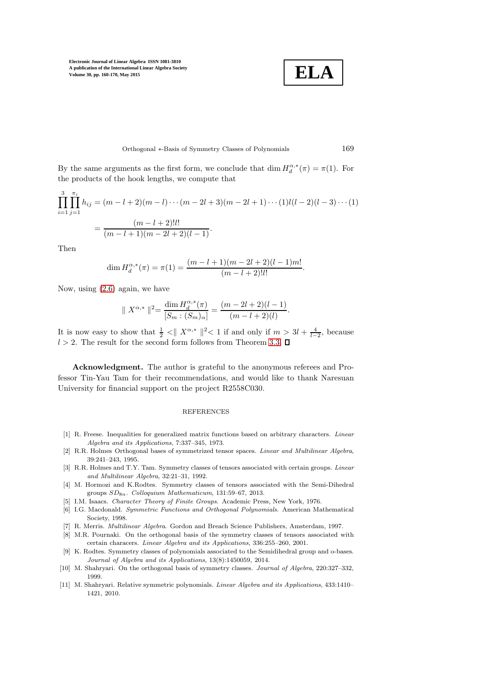

#### Orthogonal ∗-Basis of Symmetry Classes of Polynomials 169

By the same arguments as the first form, we conclude that  $\dim H_d^{\alpha,*}(\pi) = \pi(1)$ . For the products of the hook lengths, we compute that

$$
\prod_{i=1}^{3} \prod_{j=1}^{\pi_i} h_{ij} = (m - l + 2)(m - l) \cdots (m - 2l + 3)(m - 2l + 1) \cdots (1)l(l - 2)(l - 3) \cdots (1)
$$

$$
= \frac{(m - l + 2)!l!}{(m - l + 1)(m - 2l + 2)(l - 1)}.
$$

Then

$$
\dim H_d^{\alpha,*}(\pi) = \pi(1) = \frac{(m-l+1)(m-2l+2)(l-1)m!}{(m-l+2)!l!}.
$$

Now, using [\(2.6\)](#page-2-4) again, we have

$$
\| X^{\alpha,*} \|^{2} = \frac{\dim H^{\alpha,*}_{d}(\pi)}{[S_{m} : (S_{m})_{\alpha}]} = \frac{(m - 2l + 2)(l - 1)}{(m - l + 2)(l)}.
$$

It is now easy to show that  $\frac{1}{2} < ||X^{\alpha,*}||^2 < 1$  if and only if  $m > 3l + \frac{4}{l-2}$ , because  $l > 2$ . The result for the second form follows from Theorem [3.3.](#page-6-0)  $\square$ 

Acknowledgment. The author is grateful to the anonymous referees and Professor Tin-Yau Tam for their recommendations, and would like to thank Naresuan University for financial support on the project R2558C030.

## **REFERENCES**

- <span id="page-9-8"></span>[1] R. Freese. Inequalities for generalized matrix functions based on arbitrary characters. Linear Algebra and its Applications, 7:337–345, 1973.
- <span id="page-9-3"></span>[2] R.R. Holmes Orthogonal bases of symmetrized tensor spaces. Linear and Multilinear Algebra, 39:241–243, 1995.
- <span id="page-9-5"></span>[3] R.R. Holmes and T.Y. Tam. Symmetry classes of tensors associated with certain groups. Linear and Multilinear Algebra, 32:21–31, 1992.
- <span id="page-9-6"></span>[4] M. Hormozi and K.Rodtes. Symmetry classes of tensors associated with the Semi-Dihedral groups  $SD_{8n}$ . Colloquium Mathematicum, 131:59-67, 2013.
- <span id="page-9-9"></span><span id="page-9-0"></span>[5] I.M. Isaacs. Character Theory of Finite Groups. Academic Press, New York, 1976.
- [6] I.G. Macdonald. Symmetric Functions and Orthogonal Polynomials. American Mathematical Society, 1998.
- <span id="page-9-10"></span><span id="page-9-2"></span>[7] R. Merris. Multilinear Algebra. Gordon and Breach Science Publishers, Amsterdam, 1997.
- [8] M.R. Pournaki. On the orthogonal basis of the symmetry classes of tensors associated with certain characers. Linear Algebra and its Applications, 336:255–260, 2001.
- <span id="page-9-7"></span>[9] K. Rodtes. Symmetry classes of polynomials associated to the Semidihedral group and o-bases. Journal of Algebra and its Applications, 13(8):1450059, 2014.
- <span id="page-9-4"></span>[10] M. Shahryari. On the orthogonal basis of symmetry classes. Journal of Algebra, 220:327–332, 1999.
- <span id="page-9-1"></span>[11] M. Shahryari. Relative symmetric polynomials. Linear Algebra and its Applications, 433:1410– 1421, 2010.